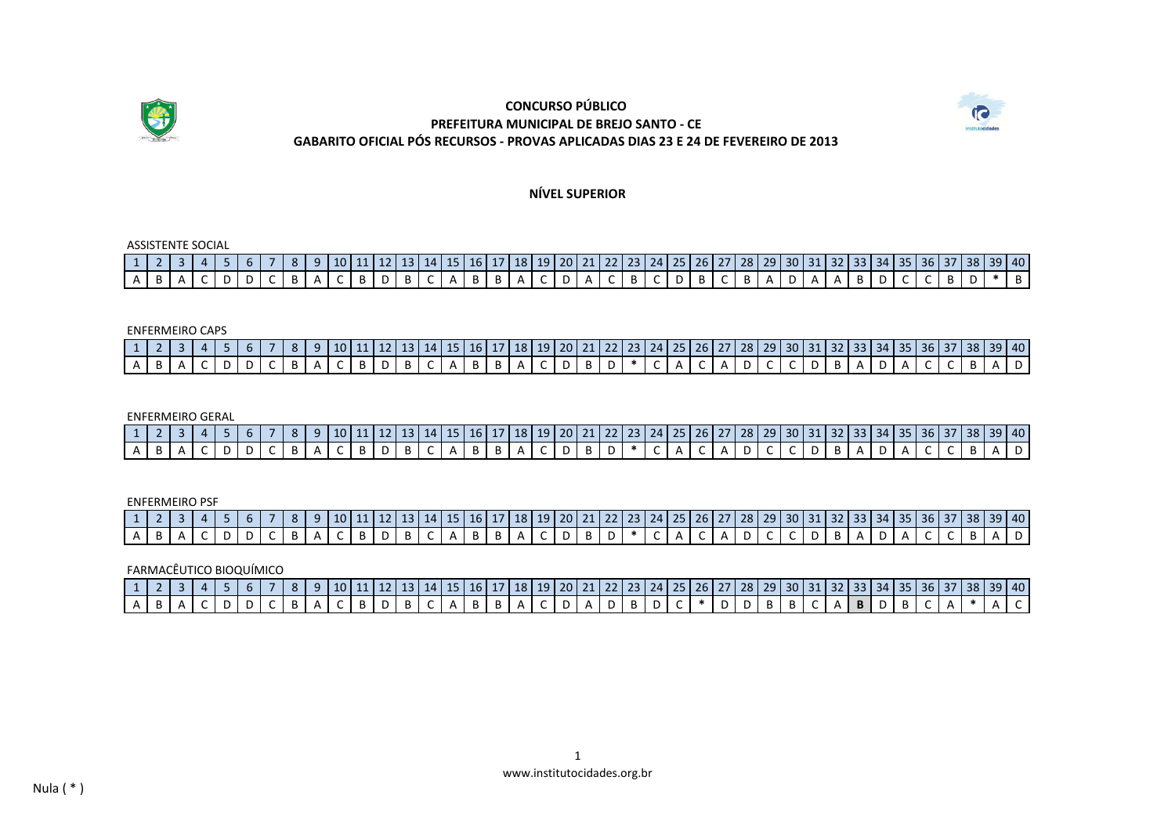



**NÍVEL SUPERIOR**

ASSISTENTE SOCIAL

| 10 10 11 2 3 4 5 6 7 8 9 10 11 12 13 14 15 16 17 18 19 20 21 22 23 24 25 26 27 28 29 30 31 32 33 34 35 36 37 38 39 40                                         |  |  |  |  |  |  |  |  |  |  |  |  |  |  |  |  |  |  |  |
|---------------------------------------------------------------------------------------------------------------------------------------------------------------|--|--|--|--|--|--|--|--|--|--|--|--|--|--|--|--|--|--|--|
| А   В   А   С   D   D   С   В   А   С   В   D   В   С   А   В   А   С   В   С   В   С   В   А   В   Р   О   С   С   В   Р   Ж   В   В   С   С   В   Р   Ж   В |  |  |  |  |  |  |  |  |  |  |  |  |  |  |  |  |  |  |  |

#### ENFERMEIRO CAPS

| -----------------                                                                                                                                             |  |  |  |  |  |  |  |  |  |  |  |  |  |  |  |  |  |  |  |
|---------------------------------------------------------------------------------------------------------------------------------------------------------------|--|--|--|--|--|--|--|--|--|--|--|--|--|--|--|--|--|--|--|
| 1   2   3   4   5   6   7   8   9  10  11  12  13  14  15  16  17  18  19  20  21  22  23  24  25  26  27  28  29  30  31  32  33  34  35  36  37  38  39  40 |  |  |  |  |  |  |  |  |  |  |  |  |  |  |  |  |  |  |  |
| А   В   А   С   D   D   С   В   А   С   В   D   В   С   А   В   А   С   В   D   Р   С   А   Р   С   С   Р   В   А   С   С   В   А   D                         |  |  |  |  |  |  |  |  |  |  |  |  |  |  |  |  |  |  |  |

ENFERMEIRO GERAL

|  |  |  |  |  |  |  |  |  |  |  |  |  |  |  |  |  |  |  | 1 2 3 4 5 6 7 8 9 10 11 12 13 14 15 16 17 18 19 20 21 22 23 24 25 26 27 28 29 30 31 32 33 34 35 36 37 38 39 40                                                                        |  |
|--|--|--|--|--|--|--|--|--|--|--|--|--|--|--|--|--|--|--|---------------------------------------------------------------------------------------------------------------------------------------------------------------------------------------|--|
|  |  |  |  |  |  |  |  |  |  |  |  |  |  |  |  |  |  |  | А   В   А   С   D   D   С   В   А   С   В   D   В   С   А   В   А   С   D   В   D   *   С   А   D   С   С   D   В   А   С   С   В   А   D   В   А   D   В   А   Р   В   А   Р   В   А |  |

ENFERMEIRO PSF

| 10 10 11 2 3 4 5 6 7 8 9 10 11 12 13 14 15 16 17 18 19 20 21 22 23 24 25 26 27 28 29 30 31 32 33 34 35 36 37 38 39 40                                                                 |  |  |  |  |  |  |  |  |  |  |  |  |  |  |  |  |  |  |  |
|---------------------------------------------------------------------------------------------------------------------------------------------------------------------------------------|--|--|--|--|--|--|--|--|--|--|--|--|--|--|--|--|--|--|--|
| А   В   А   С   D   D   С   В   А   С   В   D   В   С   А   В   А   С   D   В   D   *   С   А   D   С   С   D   В   А   С   С   В   А   D   В   А   D   В   А   Р   В   А   Р   В   А |  |  |  |  |  |  |  |  |  |  |  |  |  |  |  |  |  |  |  |

FARMACÊUTICO BIOQUÍMICO

|  |  |  |  |  |  |  |  |  |  |  |  |  |  |  |  |  |  |  | А   В   А   С   D   D   С   В   А   С   В   В   С   А   В   В   А   С   D   А   D   В   D   О   В   В   Р   В   В   В   Р   В   В   С   А   *   А   С   А   *   А   С   С   А   *   А |
|--|--|--|--|--|--|--|--|--|--|--|--|--|--|--|--|--|--|--|---------------------------------------------------------------------------------------------------------------------------------------------------------------------------------------|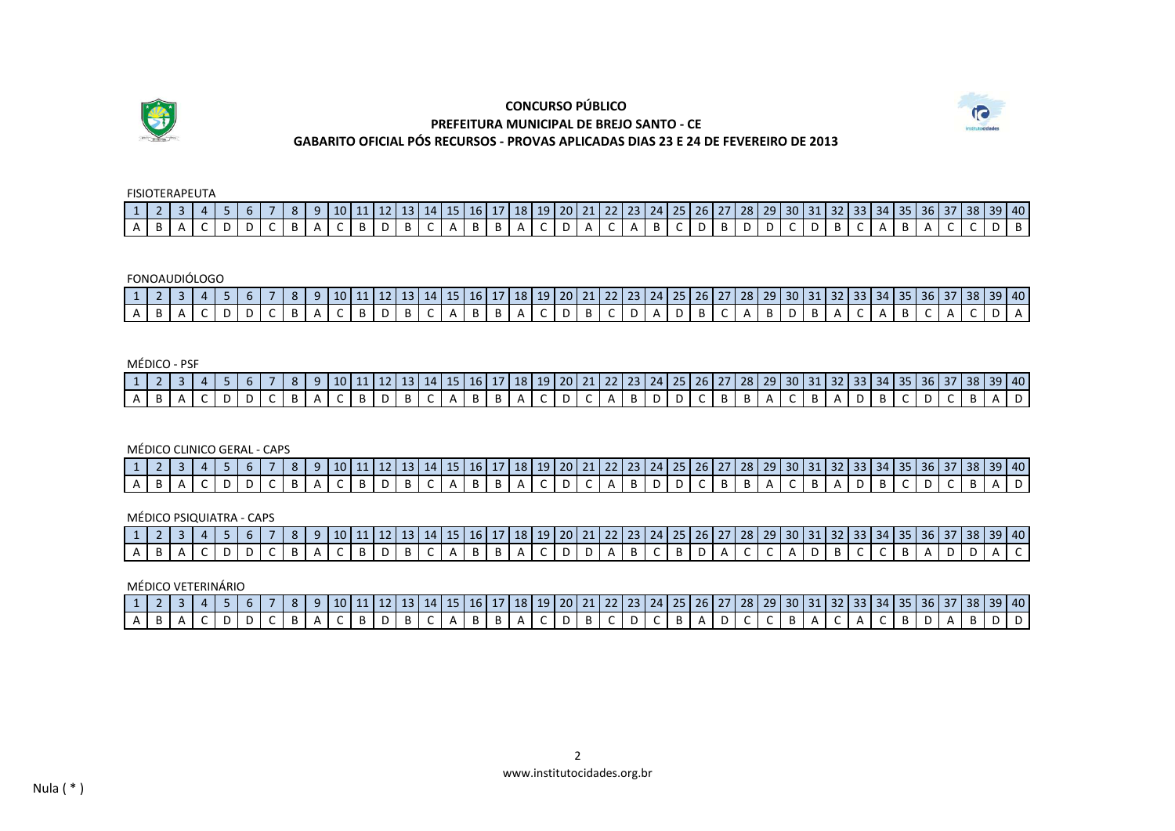



FISIOTERAPEUTA

| $A B A C D D C B A C B D B C A B D B C A B A C D A C D A B C D B D D C D B C A B C A B A C C D B$ |  |  |  |  |  |  |  |  |  |  |  |  |  |  |  |  |  |  |  |  |
|---------------------------------------------------------------------------------------------------|--|--|--|--|--|--|--|--|--|--|--|--|--|--|--|--|--|--|--|--|

### FONOAUDIÓLOGO

| 1 2 3 4 5 6 7 8 9 10 11 12 13 14 15 16 17 18 19 20 21 22 23 24 25 26 27 28 29 30 31 32 33 34 35 36 37 38 39 40                                                |  |  |  |  |  |  |  |  |  |  |  |  |  |  |  |  |  |  |  |
|---------------------------------------------------------------------------------------------------------------------------------------------------------------|--|--|--|--|--|--|--|--|--|--|--|--|--|--|--|--|--|--|--|
| А   В   А   С   D   D   С   В   А   С   В   D   В   С   А   В   А   С   D   В   С   А   В   О   В   А   С   А   В   С   А   В   С   А   С   А   С   Д   С   А |  |  |  |  |  |  |  |  |  |  |  |  |  |  |  |  |  |  |  |

### MÉDICO - PSF

|  |  |  |  |  |  |  |  |  |  |  |  |  |  |  |  |  |  |  | 1 2 3 4 5 6 7 8 9 10 11 12 13 14 15 16 17 18 19 20 21 22 23 24 25 26 27 28 29 30 31 32 33 34 35 36 37 38 39 40                                                                                                                                                                                                                                                                                                                                                                                                                     |  |
|--|--|--|--|--|--|--|--|--|--|--|--|--|--|--|--|--|--|--|------------------------------------------------------------------------------------------------------------------------------------------------------------------------------------------------------------------------------------------------------------------------------------------------------------------------------------------------------------------------------------------------------------------------------------------------------------------------------------------------------------------------------------|--|
|  |  |  |  |  |  |  |  |  |  |  |  |  |  |  |  |  |  |  | $A \mid B \mid A \mid C \mid D \mid D \mid C \mid B \mid A \mid C \mid B \mid D \mid B \mid C \mid A \mid B \mid B \mid A \mid C \mid D \mid C \mid A \mid B \mid D \mid D \mid C \mid B \mid B \mid A \mid C \mid B \mid A \mid D \mid C \mid B \mid A \mid D \mid C \mid B \mid A \mid D \mid C \mid B \mid A \mid D \mid C \mid B \mid A \mid D \mid C \mid B \mid A \mid D \mid C \mid B \mid A \mid D \mid C \mid B \mid A \mid D \mid C \mid B \mid A \mid D \mid C \mid B \mid A \mid D \mid C \mid B \mid A \mid D \mid C$ |  |

### MÉDICO CLINICO GERAL - CAPS

| \text{1}{2}\$\dot{31}\$3}\$4\dot{31}\$4\dot{31}\$4\dot{31}\$4\dot{31}\$4\dot{31}\$4\dot{31}\$4\dot{31}\$4\dot{31}\$4\dot{31}\$4\dot{31}\$4\dot{31}\$4\dot{31}\$4\dot{31}\$4\dot{31}\$4\dot{31}\$4\dot{31}\$4\dot{31}\$4\dot{31}\$4\dot{31}\$4\dot{31} |  |  |  |  |  |  |  |  |  |  |  |  |  |  |  |  |  |  |  |
|-------------------------------------------------------------------------------------------------------------------------------------------------------------------------------------------------------------------------------------------------------|--|--|--|--|--|--|--|--|--|--|--|--|--|--|--|--|--|--|--|
| A B A C D D C B A C B A C B D B C A B B A C D C A B D D C B B A C B A D B C D C B C D C B A D                                                                                                                                                         |  |  |  |  |  |  |  |  |  |  |  |  |  |  |  |  |  |  |  |

### MÉDICO PSIQUIATRA - CAPS

|  |  |  |  |  |  |  |  |  |  |  |  |  |  |  |  |  |  | 1  2   3   4   5   6   7   8   9   10   11   12   13   14   15   16   17   18   19   20   21   22   23   24   25   26   27   28   29   30   31   32   33   34   35   36   37   38   39   40 |  |  |
|--|--|--|--|--|--|--|--|--|--|--|--|--|--|--|--|--|--|---------------------------------------------------------------------------------------------------------------------------------------------------------------------------------------------|--|--|
|  |  |  |  |  |  |  |  |  |  |  |  |  |  |  |  |  |  | A B A C D D C B A C B D B C A B B A C D D A B C B D A C C A D B C C B A D D A C                                                                                                             |  |  |

#### MÉDICO VETERINÁRIO

|  |  |  |  |  |  |  |  |  |  |  |  |  |  |  |  |  |  |  | 1 2 3 4 5 6 7 8 9 10 11 12 13 14 15 16 17 18 19 20 21 22 23 24 25 26 27 28 29 30 31 32 33 34 35 36 37 38 39 40 |
|--|--|--|--|--|--|--|--|--|--|--|--|--|--|--|--|--|--|--|----------------------------------------------------------------------------------------------------------------|
|  |  |  |  |  |  |  |  |  |  |  |  |  |  |  |  |  |  |  | . A B A A C D D D C B A A C B D B C A B B A C D B C D B C D C B A D C C B A C B A C B D A C B D A B D D        |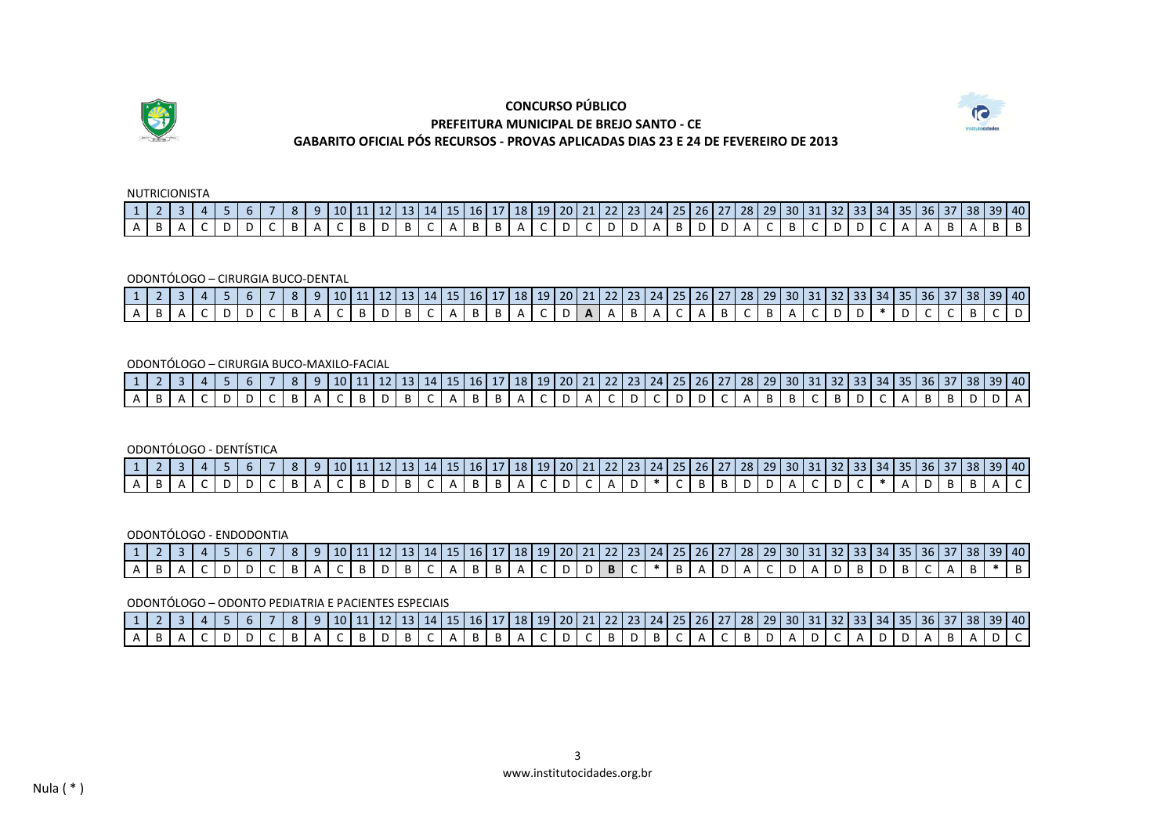



NUTRICIONISTA

|                                                                                               |  |  |  |  |  |  |  |  |  |  |  |  |  |  | 1   2   3   4   5   6   7   8   9   10   11   12   13   14   15   16   17   18   19   20   21   22   23   24   25   26   27   28   29   30   31   32   33   34   35   36   37   38   39   40 |  |  |  |  |  |
|-----------------------------------------------------------------------------------------------|--|--|--|--|--|--|--|--|--|--|--|--|--|--|----------------------------------------------------------------------------------------------------------------------------------------------------------------------------------------------|--|--|--|--|--|
| $A B A C D D C B A C B D B C A B D B C A B B A C D C D D A B D D A C B C D D C A A A B A B A$ |  |  |  |  |  |  |  |  |  |  |  |  |  |  |                                                                                                                                                                                              |  |  |  |  |  |

ODONTÓLOGO – CIRURGIA BUCO-DENTAL

| 1 2 3 4 5 6 7 8 9 10 11 2 3 4 5 6 7 8 9 10 11 2 3 4 5 6 7 8 9 20 3 4 5 6 7 8 9 20 21 22 23 24 25 26 27 28 29 30 31 32 33 34 35 36 37 38 39 40                 |  |  |  |  |  |  |  |  |  |  |  |  |  |  |  |  |  |  |  |
|---------------------------------------------------------------------------------------------------------------------------------------------------------------|--|--|--|--|--|--|--|--|--|--|--|--|--|--|--|--|--|--|--|
| А   В   А   С   D   D   С   В   А   С   В   В   С   А   В   А   С   D   А   А   В   А   С   В   А   С   D   Р   Р   С   С   В   С   В   С   Д   С   В   С   В |  |  |  |  |  |  |  |  |  |  |  |  |  |  |  |  |  |  |  |

ODONTÓLOGO – CIRURGIA BUCO-MAXILO-FACIAL

| 1 2 3 4 5 6 7 8 9 10 11 12 13 14 15 16 17 18 19 20 21 22 23 24 25 26 27 28 29 30 31 32 33 34 35 36 37 38 39 40                                                |  |  |  |  |  |  |  |  |  |  |  |  |  |  |  |  |  |  |  |
|---------------------------------------------------------------------------------------------------------------------------------------------------------------|--|--|--|--|--|--|--|--|--|--|--|--|--|--|--|--|--|--|--|
| А   В   А   С   D   D   С   В   А   С   В   D   В   С   А   В   В   А   С   D   С   D   D   С   А   В   В   Р   О   Д   С   В   Р   Р   А   С   В   Р   Р   А |  |  |  |  |  |  |  |  |  |  |  |  |  |  |  |  |  |  |  |

ODONTÓLOGO - DENTÍSTICA

| A   B   A   C   D   D   C   B   A   C   B   D   B   C   A   B   B   A   C   D   C   A   D   D   D   D   A   C   B   B   A   C   B   A   C   B   A   C   B   A   C   B   A   C   C   *   A   D   B   A   C |  |  |  |  |  |  |  |  |  |  |  |  |  |  |  |  |  |  |  |
|-----------------------------------------------------------------------------------------------------------------------------------------------------------------------------------------------------------|--|--|--|--|--|--|--|--|--|--|--|--|--|--|--|--|--|--|--|

ODONTÓLOGO - ENDODONTIA

| 1 2 3 4 5 6 7 8 9 10 11 12 13 14 15 16 17 18 19 20 21 22 23 24 25 26 27 28 29 30 31 32 33 34 35 36 37 38 39 40                             |  |  |  |  |  |  |  |  |  |  |  |  |  |  |  |  |  |  |  |
|--------------------------------------------------------------------------------------------------------------------------------------------|--|--|--|--|--|--|--|--|--|--|--|--|--|--|--|--|--|--|--|
| 'A   B   A   C   D   D   C   B   A   C   B   D   B   C   A   B   A   C   D   D   B   C   *   B   A   C   D   A   D   B   C   A   B   *   B |  |  |  |  |  |  |  |  |  |  |  |  |  |  |  |  |  |  |  |

ODONTÓLOGO – ODONTO PEDIATRIA E PACIENTES ESPECIAIS

| 1 2 3 4 5 6 7 8 9 10 11 12 13 14 15 16 17 18 19 20 21 22 23 24 25 26 27 28 29 30 31 32 33 34 35 36 37 38 39 40                                                |  |  |  |  |  |  |  |  |  |  |  |  |  |  |  |  |  |  |  |
|---------------------------------------------------------------------------------------------------------------------------------------------------------------|--|--|--|--|--|--|--|--|--|--|--|--|--|--|--|--|--|--|--|
| А   В   А   С   D   D   С   В   А   С   В   В   С   А   В   В   А   С   В   D   В   С   А   С   В   Р   О   А   Д   Д   Д   В   А   Д   С   В   Д   С   В   Д |  |  |  |  |  |  |  |  |  |  |  |  |  |  |  |  |  |  |  |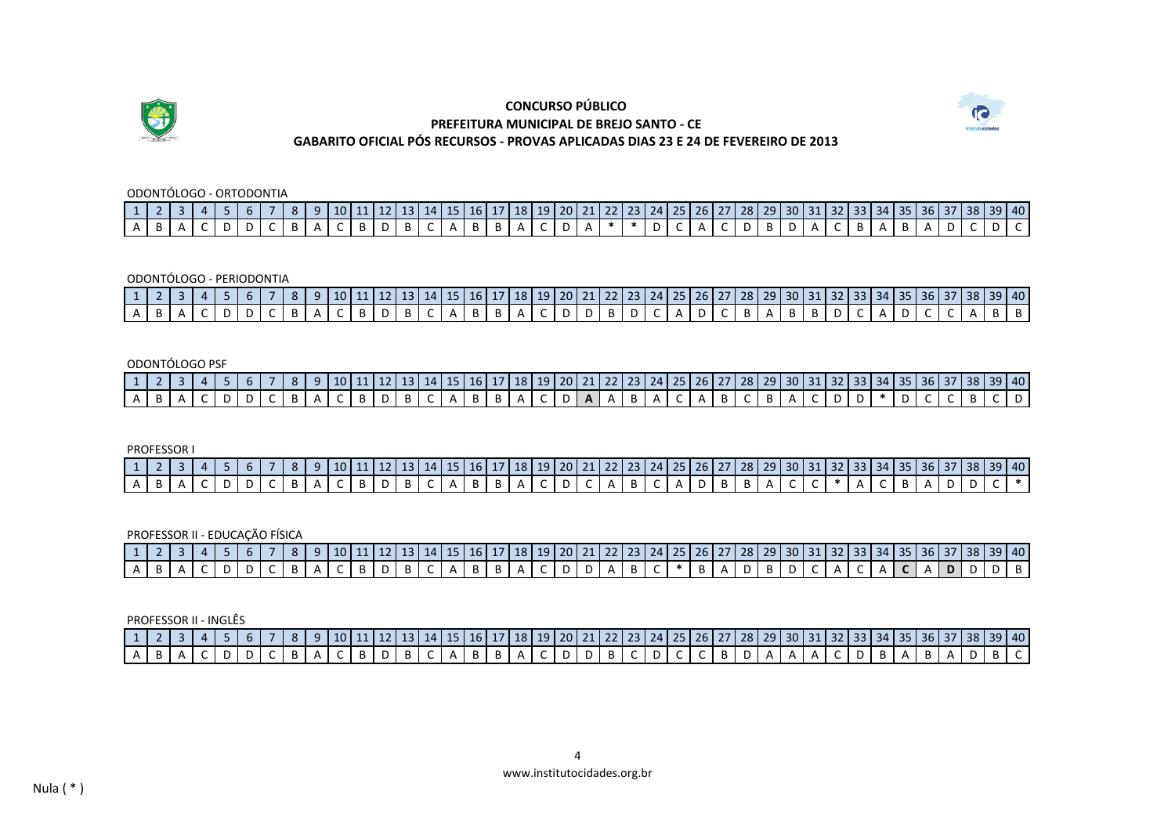



ODONTÓLOGO - ORTODONTIA

|  |  |  |  |  |  |  |  |  |  |  |  |  |  |  |  |  |  |  | 1 2 3 4 5 6 7 8 9 10 11 12 13 14 15 6 7 8 9 10 11 12 13 4 5 6 7 8 9 40                          |  |
|--|--|--|--|--|--|--|--|--|--|--|--|--|--|--|--|--|--|--|-------------------------------------------------------------------------------------------------|--|
|  |  |  |  |  |  |  |  |  |  |  |  |  |  |  |  |  |  |  | $A B A C D D C B A C B D B C A B D B C A B A C D A * * D C A C D B D A C B A C B A B A D C D C$ |  |

ODONTÓLOGO - PERIODONTIA

| 1   2   3   4   5   6   7   8   9  10  11  12  13  14  15  16  17  18  19  20  21  22  23  24  25  26  27  28  29  30  31  32  33  34  35  36  37  38  39  40 |  |  |  |  |  |  |  |  |  |  |  |  |  |  |  |  |  |  |  |
|---------------------------------------------------------------------------------------------------------------------------------------------------------------|--|--|--|--|--|--|--|--|--|--|--|--|--|--|--|--|--|--|--|
|                                                                                                                                                               |  |  |  |  |  |  |  |  |  |  |  |  |  |  |  |  |  |  |  |

#### ODONTÓLOGO PSF

|  |  |  |  |  |  |  |  |  |  |  |  |  |  |  |  |  |  |  | 1   2   3   4   5   6   7   8   9  10  11  12  13   14   15   16   17   18   19   20   21   22   23   24   25   26   27   28   29   30   31   32   33   34   35   36   37   38   39   40 |  |
|--|--|--|--|--|--|--|--|--|--|--|--|--|--|--|--|--|--|--|------------------------------------------------------------------------------------------------------------------------------------------------------------------------------------------|--|
|  |  |  |  |  |  |  |  |  |  |  |  |  |  |  |  |  |  |  | $A B A C D D C B A C B A C B D B C A B B A C D A A B A C A B C B A C D D C C C B C D$                                                                                                    |  |

PROFESSOR I

| \tip 1 2   3   4   5   6   7   8   9   10   11   12   13   14   15   16   17   18   19   20   21   22   23   24   25   26   27   28   29   30   31   32   33   34   35   36   37   38   39   40 |  |  |  |  |  |  |  |  |  |  |  |  |  |  |  |  |  |  |  |
|-------------------------------------------------------------------------------------------------------------------------------------------------------------------------------------------------|--|--|--|--|--|--|--|--|--|--|--|--|--|--|--|--|--|--|--|
| A B A C D D C B A C B A C B D B C A B B A C D C A B C A B C A D B B A C C + A C B A D D C +                                                                                                     |  |  |  |  |  |  |  |  |  |  |  |  |  |  |  |  |  |  |  |

PROFESSOR II - EDUCAÇÃO FÍSICA

| 1   2   3   4   5   6   7   8   9   10   11   12   13   14   15   16   17   18   19   20   21   22   23   24   25   26   27   28   29   30   31   32   33   34   35   36   37   38   39   40 |  |  |  |  |  |  |  |  |  |  |  |  |  |  |  |  |  |  |  |
|----------------------------------------------------------------------------------------------------------------------------------------------------------------------------------------------|--|--|--|--|--|--|--|--|--|--|--|--|--|--|--|--|--|--|--|
|                                                                                                                                                                                              |  |  |  |  |  |  |  |  |  |  |  |  |  |  |  |  |  |  |  |

PROFESSOR II - INGLÊS

|                                                                                                                                                               | 1 2 3 4 5 6 7 8 9 10 11 2 3 4 5 6 7 8 9 10 11 2 3 4 5 6 7 8 9 10 11 2 4 5 6 7 8 9 10 11 2 5 6 7 8 9 10 11 2 5 6 7 8 9 10 11 12 13 14 5 6 7 8 7 8 9 40 |  |  |  |  |  |  |  |  |  |  |  |  |  |  |  |  |  |  |  |
|---------------------------------------------------------------------------------------------------------------------------------------------------------------|-------------------------------------------------------------------------------------------------------------------------------------------------------|--|--|--|--|--|--|--|--|--|--|--|--|--|--|--|--|--|--|--|
| А   В   А   С   D   D   С   В   А   С   В   D   В   Е   А   А   С   D   D   В   С   С   В   Р   А   А   А   С   В   А   В   А   В   С   В   С   В   С   В   С |                                                                                                                                                       |  |  |  |  |  |  |  |  |  |  |  |  |  |  |  |  |  |  |  |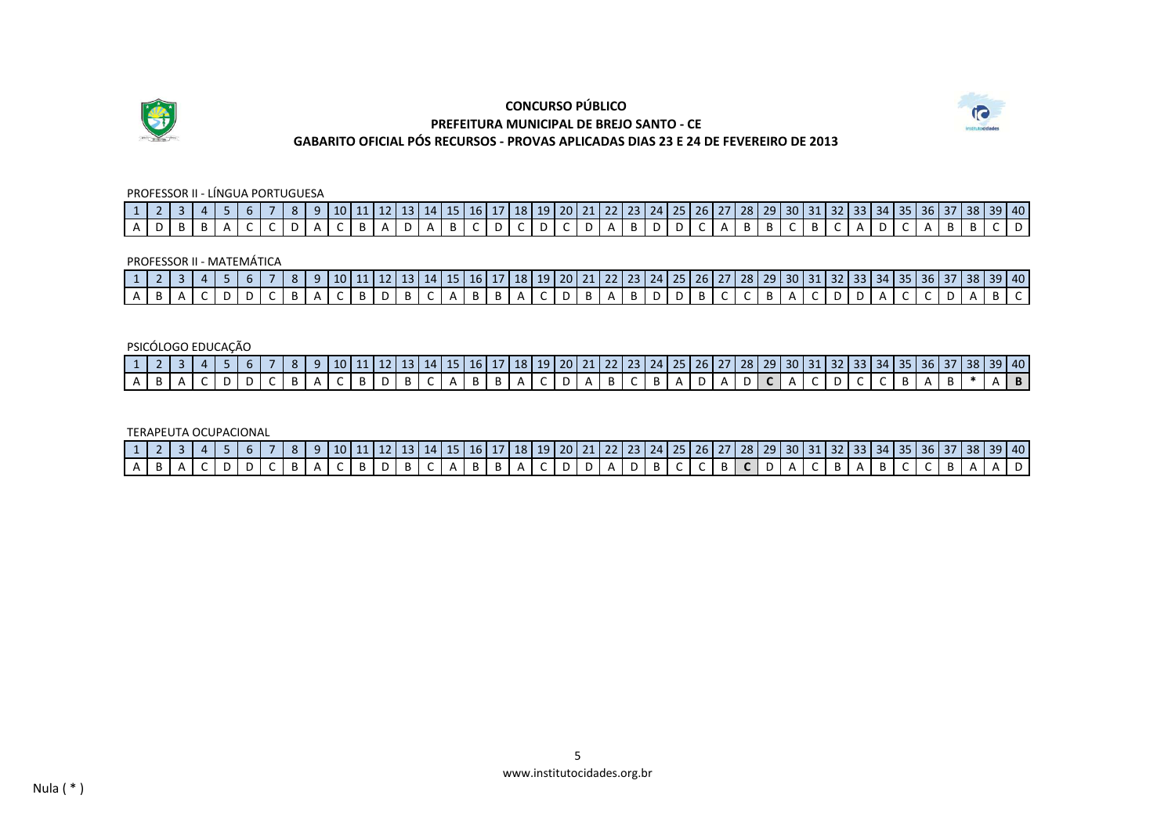



### PROFESSOR II - LÍNGUA PORTUGUESA

|  |  |  |  |  |  |  |  |  |  |  |  |  |  |  |  |  |  |  | 1 2 3 4 5 6 7 8 9 10 11 12 13 14 15 6 17 8 9 10 11 12 13 4 5 6 7 8 9 40         |
|--|--|--|--|--|--|--|--|--|--|--|--|--|--|--|--|--|--|--|---------------------------------------------------------------------------------|
|  |  |  |  |  |  |  |  |  |  |  |  |  |  |  |  |  |  |  | А D В В А С С D А С В А D А В С D С D С D А В D D С А В В С В С А D С А В В С D |

PROFESSOR II - MATEMÁTICA

|  |  |  |  |  |  |  |  |  |  |  |  |  |  |  |  |  |  |  | 1 2 3 4 5 6 7 8 9 10 11 12 13 14 15 16 17 18 19 20 21 22 23 24 25 26 27 28 29 30 31 32 33 34 35 36 37 38 39 40                                                                                                                                                                                                                                                                                                                                                                                                                     |  |
|--|--|--|--|--|--|--|--|--|--|--|--|--|--|--|--|--|--|--|------------------------------------------------------------------------------------------------------------------------------------------------------------------------------------------------------------------------------------------------------------------------------------------------------------------------------------------------------------------------------------------------------------------------------------------------------------------------------------------------------------------------------------|--|
|  |  |  |  |  |  |  |  |  |  |  |  |  |  |  |  |  |  |  | $A \mid B \mid A \mid C \mid D \mid D \mid C \mid B \mid A \mid C \mid B \mid D \mid B \mid C \mid A \mid B \mid B \mid A \mid C \mid D \mid B \mid A \mid B \mid D \mid D \mid B \mid C \mid C \mid B \mid A \mid C \mid D \mid A \mid C \mid C \mid D \mid A \mid B \mid C \mid B \mid B \mid C \mid B \mid B \mid C \mid B \mid B \mid C \mid B \mid B \mid C \mid C \mid B \mid B \mid C \mid C \mid B \mid B \mid C \mid C \mid B \mid C \mid C \mid B \mid C \mid C \mid C \mid D \mid A \mid C \mid C \mid D \mid A \mid B$ |  |

### PSICÓLOGO EDUCAÇÃO

| 1   2   3   4   5   6   7   8   9   10   11   12   13   14   15   16   17   18   19   20   21   22   23   24   25   26   27   28   29   30   31   32   33   34   35   36   37   38   39   40 |  |  |  |  |  |  |  |  |  |  |  |  |  |  |  |  |  |  |  |
|----------------------------------------------------------------------------------------------------------------------------------------------------------------------------------------------|--|--|--|--|--|--|--|--|--|--|--|--|--|--|--|--|--|--|--|
| А   В   А   С   D   D   С   В   А   С   В   В   С   А   В   В   А   В   С   В   А   Д   Д   Д   Д   С   Д   С   В   А   В   *   А   В                                                        |  |  |  |  |  |  |  |  |  |  |  |  |  |  |  |  |  |  |  |

TERAPEUTA OCUPACIONAL

| 1   2   3   4   5   6   7   8   9  10  11  12  13  14  15  16  17  18  19  20  21  22  23  24  25  26   27  28   29   30   31   32   33   34   35   36   37   38   39   40 |  |  |  |  |  |  |  |  |  |  |  |  |  |  |  |  |  |  |  |
|----------------------------------------------------------------------------------------------------------------------------------------------------------------------------|--|--|--|--|--|--|--|--|--|--|--|--|--|--|--|--|--|--|--|
|                                                                                                                                                                            |  |  |  |  |  |  |  |  |  |  |  |  |  |  |  |  |  |  |  |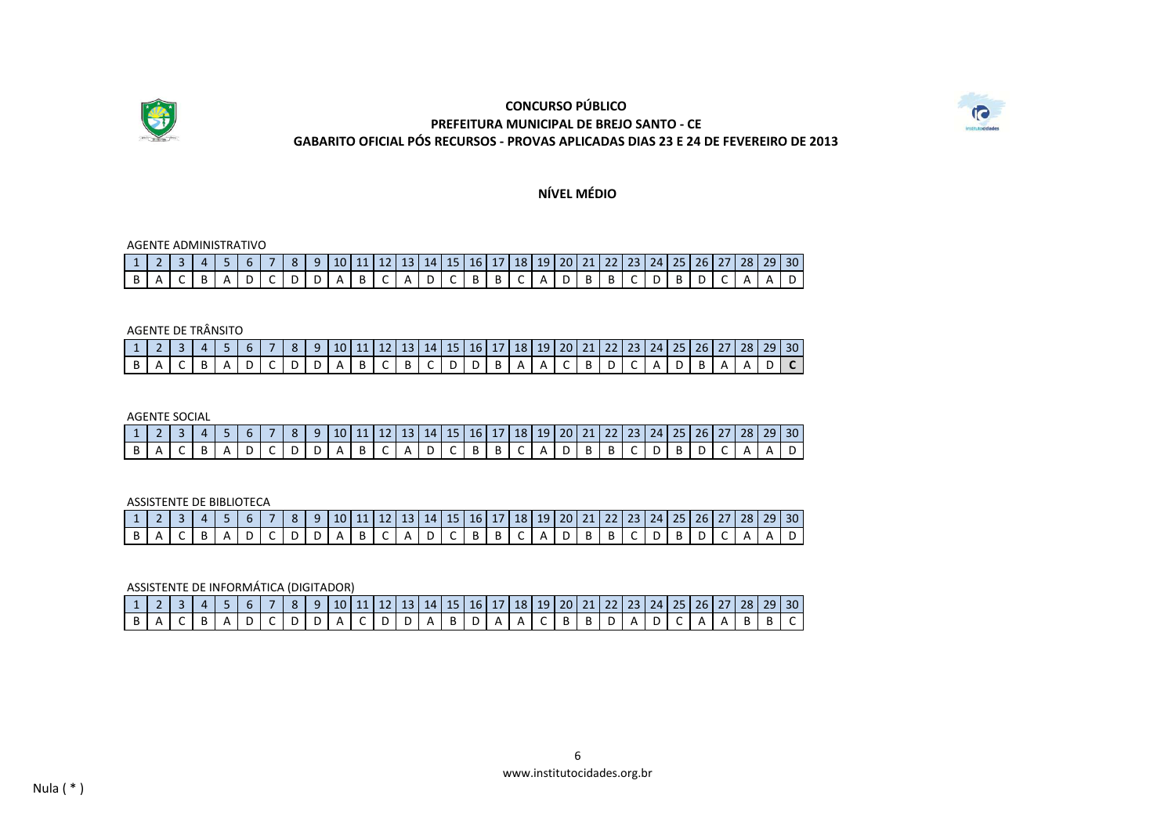



**NÍVEL MÉDIO**

#### AGENTE ADMINISTRATIVO

|  | 1   2   3   4   5   6   7   8   9   10   11   12   13   14   15   16   17   18   19   20   21   22   23   24   25   26   27   28   29   30 |  |  |  |  |  |  |  |  |  |  |  |  |  |  |
|--|--------------------------------------------------------------------------------------------------------------------------------------------|--|--|--|--|--|--|--|--|--|--|--|--|--|--|
|  |                                                                                                                                            |  |  |  |  |  |  |  |  |  |  |  |  |  |  |

### AGENTE DE TRÂNSITO

|  |  |  |  | 4   5   6   7   8   9   10   11   12   13   14   15   16   17   18   19   20   21   22   23   24   25   26   27   28   29   30 |  |  |  |  |  |  |  |  |  |  |
|--|--|--|--|--------------------------------------------------------------------------------------------------------------------------------|--|--|--|--|--|--|--|--|--|--|
|  |  |  |  | ADCDDABCBCBCDDBAAACBDCADBAAADC                                                                                                 |  |  |  |  |  |  |  |  |  |  |

#### AGENTE SOCIAL

| 1 2 3 4 5 6 7 8 9 10 11 12 13 14 15 16 17 18 19 20 21 22 23 24 25 26 27 28 29 30 |  |  |  |  |  |  |  |  |  |  |  |  |  |  |
|----------------------------------------------------------------------------------|--|--|--|--|--|--|--|--|--|--|--|--|--|--|
|                                                                                  |  |  |  |  |  |  |  |  |  |  |  |  |  |  |

ASSISTENTE DE BIBLIOTECA

|  |  |  |  |  |  |  |  |  |  |  |  |  |  | <sup>1</sup> 1   2   3   4   5   6   7   8   9   10   11   12   13   14   15   16   17   18   19   20   21   22   23   24   25   26   27   28   29   30 |
|--|--|--|--|--|--|--|--|--|--|--|--|--|--|---------------------------------------------------------------------------------------------------------------------------------------------------------|
|  |  |  |  |  |  |  |  |  |  |  |  |  |  | $ B A C B A D C D D A B C A D C B B C A D B B C D B D C A A D $                                                                                         |

ASSISTENTE DE INFORMÁTICA (DIGITADOR)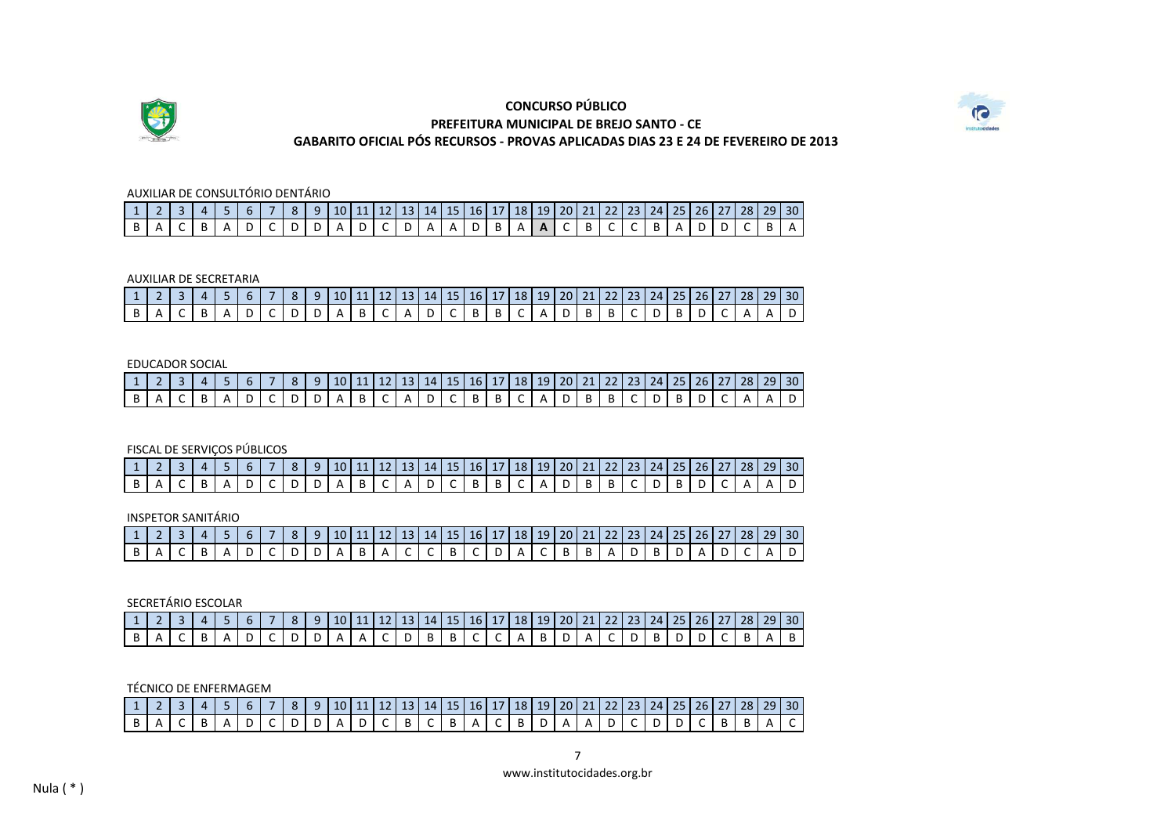



### AUXILIAR DE CONSULTÓRIO DENTÁRIO

| 1 2 3 4 5 6 7 8 9 10 11 12 13 14 15 16 17 18 19 20 21 22 23 24 25 26 27 28 29 30 |  |  |  |  |  |  |  |  |  |  |  |  |  |  |
|----------------------------------------------------------------------------------|--|--|--|--|--|--|--|--|--|--|--|--|--|--|
| B A C B A D C D D A D C D A A D B A A C B C C B A D D C B A                      |  |  |  |  |  |  |  |  |  |  |  |  |  |  |

#### AUXILIAR DE SECRETARIA

| 1   2   3   4   5   6   7   8   9   10   11   12   13   14   15   16   17   18   19   20   21   22   23   24   25   26   27   28   29   30 |  |  |  |  |  |  |  |  |  |  |  |  |  |  |
|--------------------------------------------------------------------------------------------------------------------------------------------|--|--|--|--|--|--|--|--|--|--|--|--|--|--|
| B A C B A D C D D A B C A D C B B C A D B B C D B D C A A D                                                                                |  |  |  |  |  |  |  |  |  |  |  |  |  |  |

#### EDUCADOR SOCIAL

| 1 2 3 4 5 6 7 8 9 10 11 12 13 14 15 16 17 18 19 20 21 22 23 24 25 26 27 28 29 30 |  |  |  |  |  |  |  |  |  |  |  |  |  |  |
|----------------------------------------------------------------------------------|--|--|--|--|--|--|--|--|--|--|--|--|--|--|
| $ B A C B A D C D D A B C A D C B B C A D B B C D B D C A A D$                   |  |  |  |  |  |  |  |  |  |  |  |  |  |  |

### FISCAL DE SERVIÇOS PÚBLICOS

| <sup>1</sup> 1   2   3   4   5   6   7   8   9   10   11   12   13   14   15   16   17   18   19   20   21   22   23   24   25   26   27   28   29   30 |  |  |  |  |  |  |  |  |  |  |  |  |  |  |
|---------------------------------------------------------------------------------------------------------------------------------------------------------|--|--|--|--|--|--|--|--|--|--|--|--|--|--|
|                                                                                                                                                         |  |  |  |  |  |  |  |  |  |  |  |  |  |  |

#### INSPETOR SANITÁRIO

|  |  |  |  |  |  |  |  |  |  |  |  |  |  | $1 \ 2 \ 3 \ 4 \ 5 \ 6 \ 7 \ 8 \ 9 \ 10 \ 11 \ 12 \ 13 \ 14 \ 15 \ 16 \ 17 \ 18 \ 19 \ 20 \ 21 \ 22 \ 23 \ 24 \ 25 \ 26 \ 27 \ 28 \ 29 \ 30$ |
|--|--|--|--|--|--|--|--|--|--|--|--|--|--|----------------------------------------------------------------------------------------------------------------------------------------------|
|  |  |  |  |  |  |  |  |  |  |  |  |  |  | B A C B A D C D D A B A C C B C D A C B B A D B D A D C A D                                                                                  |

#### SECRETÁRIO ESCOLAR

| 1   2   3   4   5   6   7   8   9   10   11   12   13   14   15   16   17   18   19   20   21   22   23   24   25   26   27   28   29   30 |  |  |  |  |  |  |  |  |  |  |  |  |  |  |
|--------------------------------------------------------------------------------------------------------------------------------------------|--|--|--|--|--|--|--|--|--|--|--|--|--|--|
| B   A   C   B   A   D   C   D   D   A   A   C   D   B   B   C   C   A   B   D   A   C   D   B   D   C   B   A                              |  |  |  |  |  |  |  |  |  |  |  |  |  |  |

### TÉCNICO DE ENFERMAGEM

| 1 2 3 4 5 6 7 8 9 10 11 12 13 14 15 16 17 18 19 20 21 22 23 24 25 26 27 28 29 30                                      |  |  |  |  |  |  |  |  |  |  |  |  |  |  |
|-----------------------------------------------------------------------------------------------------------------------|--|--|--|--|--|--|--|--|--|--|--|--|--|--|
| B   A   C   B   A   D   C   D   D   A   D   C   B   C   B   A   C   B   D   A   A   D   C   D   D   C   B   B   A   C |  |  |  |  |  |  |  |  |  |  |  |  |  |  |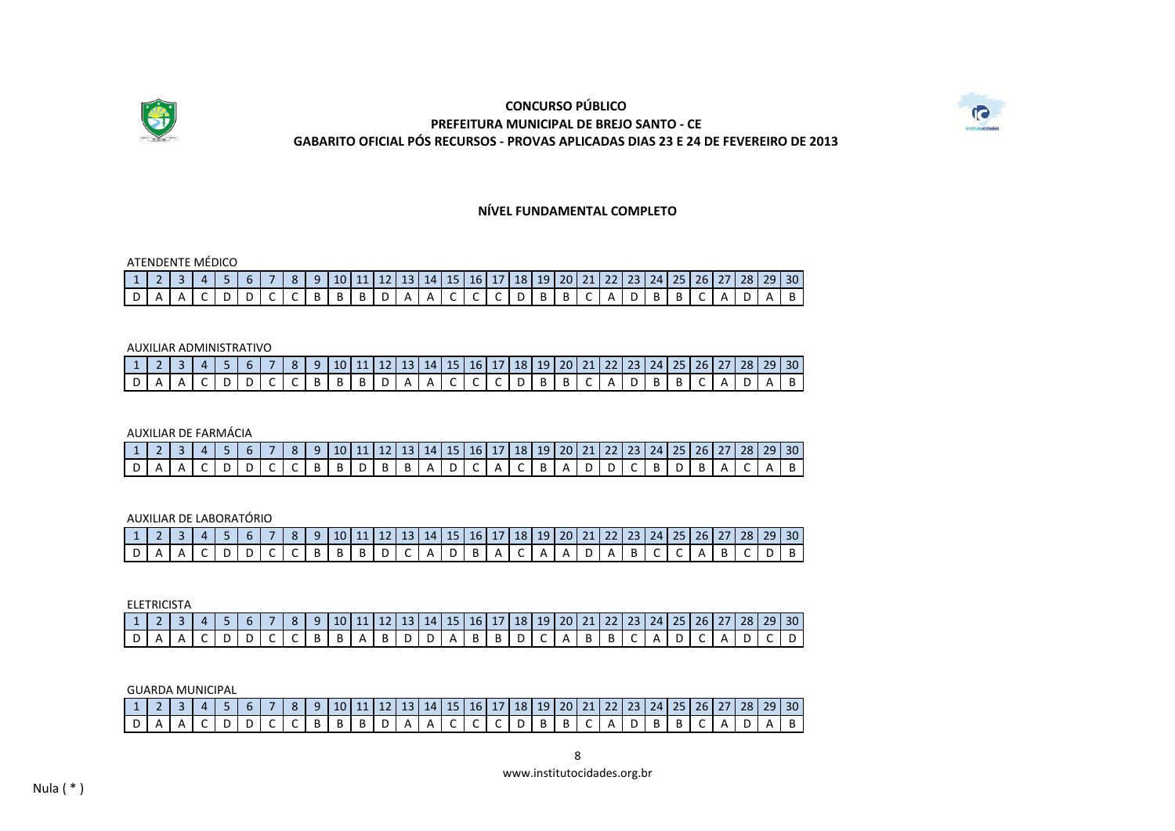



**NÍVEL FUNDAMENTAL COMPLETO**

### 1 2 3 4 5 6 7 8 9 10 11 12 13 14 15 16 17 18 19 20 21 22 23 24 25 26 27 28 29 30<br>D A A C D D C C B B B D A A C C C D B B C A D B B C A D A B D | A | A | C | D | D | C | C | B | B | B | D | A | A | C | C | C | D | B | B | C | A | D | B | B | C | A | D | A | B ATENDENTE MÉDICO

#### AUXILIAR ADMINISTRATIVO

|  |  |  |  |  |  |  |  |  |  | 1   2   3   4   5   6   7   8   9   10   11   12   13   14   15   16   17   18   19   20   21   22   23   24   25   26   27   28   29   30 |  |  |  |  |  |
|--|--|--|--|--|--|--|--|--|--|--------------------------------------------------------------------------------------------------------------------------------------------|--|--|--|--|--|
|  |  |  |  |  |  |  |  |  |  |                                                                                                                                            |  |  |  |  |  |
|  |  |  |  |  |  |  |  |  |  | $[D] A [A] C [D] D [C] C [B] B [B] D [A] A [C] C [C] D [B] B [C] A [D] B [B] C [A] D [A] B]$                                               |  |  |  |  |  |

AUXILIAR DE FARMÁCIA

| 1 2 3 4 5 6 7 8 9 10 11 2 3 4 5 6 7 8 9 30 |  |  |  |  |  |  |  |  |  |  |  |  |  |  |
|--------------------------------------------|--|--|--|--|--|--|--|--|--|--|--|--|--|--|
|                                            |  |  |  |  |  |  |  |  |  |  |  |  |  |  |

AUXILIAR DE LABORATÓRIO

| 1   2   3   4   5   6   7   8   9   10   11   12   13   14   15   16   17   18   19   20   21   22   23   24   25   26   27   28   29   30 |  |  |  |  |  |  |  |  |  |  |  |  |  |  |
|--------------------------------------------------------------------------------------------------------------------------------------------|--|--|--|--|--|--|--|--|--|--|--|--|--|--|
| $ D A A C D D C C B B B D C A D B A C A A D A B C C A B C D B $                                                                            |  |  |  |  |  |  |  |  |  |  |  |  |  |  |

|  | ELETRICISTA |  |  |  |  |  |  |  |  |  |  |  |  |                                                                                                              |  |
|--|-------------|--|--|--|--|--|--|--|--|--|--|--|--|--------------------------------------------------------------------------------------------------------------|--|
|  |             |  |  |  |  |  |  |  |  |  |  |  |  | │ 4 │ 5 │ 6 │ 7 │ 8 │ 9 │10 │11 │12 │13 │14 │15 │16 │ 17 │18 │19 │20 │21 │22 │23 │24 │25 │26 │27 │28 │29 │30 |  |
|  |             |  |  |  |  |  |  |  |  |  |  |  |  | A   C   D   D   C   C   B   B   A   B   D   D   A   B   B   D   C   A   B   B   C   A   D   C   A   D   C    |  |

GUARDA MUNICIPAL

| 1 1 2 3 4 5 6 7 8 9 10 11 2 3 4 5 6 7 8 9 30                                                                          |  |  |  |  |  |  |  |  |  |  |  |  |  |  |
|-----------------------------------------------------------------------------------------------------------------------|--|--|--|--|--|--|--|--|--|--|--|--|--|--|
| D   A   A   C   D   D   C   C   B   B   B   D   A   A   C   C   C   D   B   B   C   A   D   B   B   C   A   D   A   B |  |  |  |  |  |  |  |  |  |  |  |  |  |  |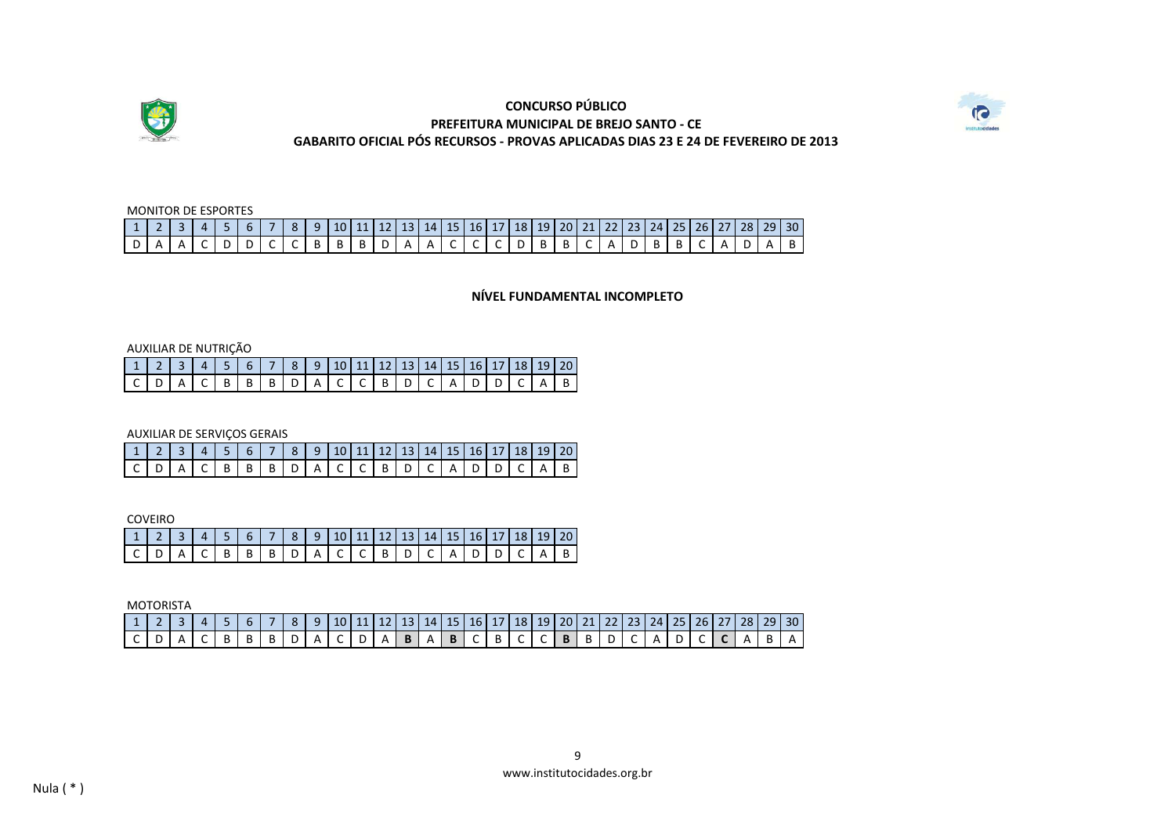



# 1 | 2 | 3 | 4 | 5 | 6 | 7 | 8 | 9 | 10| 11 | 12| 13| 14| 15| 16| 17| 18| 19| 20| 21| 22| 23| 24| 25| 26| 27| 28| 29| 30 D | A | A | C | D | D | C | C | B | B | B | D | A | A | C | C | C | D | B | B | C | A | D | B | B | C | A | D | A | B MONITOR DE ESPORTES

**NÍVEL FUNDAMENTAL INCOMPLETO**

AUXILIAR DE NUTRIÇÃO

| 1   2   3   4   5   6   7   8   9   10   11   12   13   14   15   16   17   18   19   20 |  |  |  |  |  |  |  |  |  |  |
|------------------------------------------------------------------------------------------|--|--|--|--|--|--|--|--|--|--|
| $[ C   D   A   C   B   B   B   D   A   C   C   B   D   C   A   D   D   C   A   B$        |  |  |  |  |  |  |  |  |  |  |

AUXILIAR DE SERVIÇOS GERAIS

|                                                                                   | $1 \mid 2 \mid 3 \mid 4 \mid 5 \mid 6 \mid 7 \mid 8 \mid 9 \mid 10 \mid 11 \mid 12 \mid 13 \mid 14 \mid 15 \mid 16 \mid 17 \mid 18 \mid 19 \mid 20$ |  |  |  |  |  |  |  |  |  |
|-----------------------------------------------------------------------------------|-----------------------------------------------------------------------------------------------------------------------------------------------------|--|--|--|--|--|--|--|--|--|
| $[ C   D   A   C   B   B   B   D   A   C   C   B   D   C   A   D   D   C   A   B$ |                                                                                                                                                     |  |  |  |  |  |  |  |  |  |

COVEIRO

| --------- |  |  |  |  |  |  |  |                                                                           |  |
|-----------|--|--|--|--|--|--|--|---------------------------------------------------------------------------|--|
|           |  |  |  |  |  |  |  | 4   5   6   7   8   9  10  11  12   13   14   15   16   17   18   19   20 |  |
|           |  |  |  |  |  |  |  | $ A C B B B D A C C B D C A D D C A B$                                    |  |

MOTORISTA

|  | 1 2 3 4 5 6 7 8 9 10 11 2 3 4 5 6 7 8 9 10 11 2 4 5 6 7 8 9 20 11 4 5 6 7 8 9 20 12 5 6 7 8 7 8 7 8 1 |  |  |  |  |  |  |  |  |  |  |  |  |  |  |
|--|-------------------------------------------------------------------------------------------------------|--|--|--|--|--|--|--|--|--|--|--|--|--|--|
|  | $[C] D [A] C [B] B [B] D [A] C] D [A] B [A] B [C] B [C] C [B] B [D] C [A] D [C] A [B] A]$             |  |  |  |  |  |  |  |  |  |  |  |  |  |  |